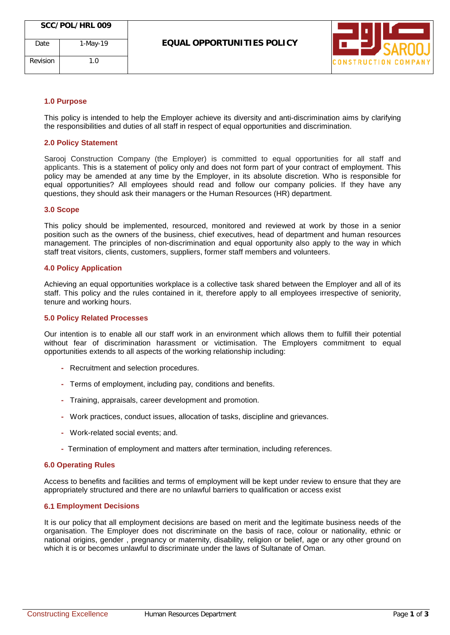

# **1.0 Purpose**

Revision 1.0

This policy is intended to help the Employer achieve its diversity and anti-discrimination aims by clarifying the responsibilities and duties of all staff in respect of equal opportunities and discrimination.

### **2.0 Policy Statement**

Sarooj Construction Company (the Employer) is committed to equal opportunities for all staff and applicants. This is a statement of policy only and does not form part of your contract of employment. This policy may be amended at any time by the Employer, in its absolute discretion. Who is responsible for equal opportunities? All employees should read and follow our company policies. If they have any questions, they should ask their managers or the Human Resources (HR) department.

#### **3.0 Scope**

This policy should be implemented, resourced, monitored and reviewed at work by those in a senior position such as the owners of the business, chief executives, head of department and human resources management. The principles of non-discrimination and equal opportunity also apply to the way in which staff treat visitors, clients, customers, suppliers, former staff members and volunteers.

#### **4.0 Policy Application**

Achieving an equal opportunities workplace is a collective task shared between the Employer and all of its staff. This policy and the rules contained in it, therefore apply to all employees irrespective of seniority, tenure and working hours.

#### **5.0 Policy Related Processes**

Our intention is to enable all our staff work in an environment which allows them to fulfill their potential without fear of discrimination harassment or victimisation. The Employers commitment to equal opportunities extends to all aspects of the working relationship including:

- **-** Recruitment and selection procedures.
- **-** Terms of employment, including pay, conditions and benefits.
- **-** Training, appraisals, career development and promotion.
- **-** Work practices, conduct issues, allocation of tasks, discipline and grievances.
- **-** Work-related social events; and.
- **-** Termination of employment and matters after termination, including references.

### **6.0 Operating Rules**

Access to benefits and facilities and terms of employment will be kept under review to ensure that they are appropriately structured and there are no unlawful barriers to qualification or access exist

## **6.1 Employment Decisions**

It is our policy that all employment decisions are based on merit and the legitimate business needs of the organisation. The Employer does not discriminate on the basis of race, colour or nationality, ethnic or national origins, gender , pregnancy or maternity, disability, religion or belief, age or any other ground on which it is or becomes unlawful to discriminate under the laws of Sultanate of Oman.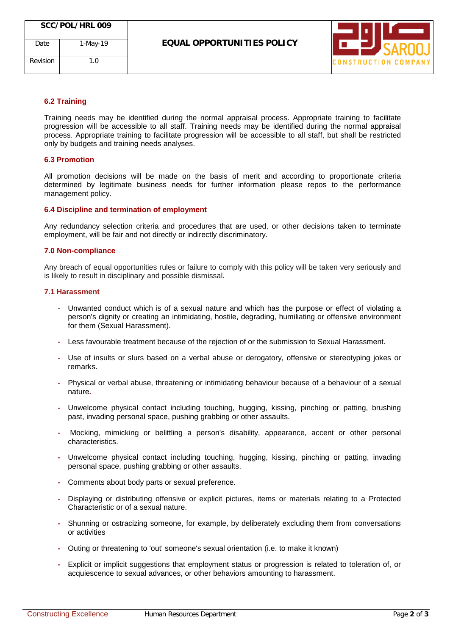

# **6.2 Training**

Training needs may be identified during the normal appraisal process. Appropriate training to facilitate progression will be accessible to all staff. Training needs may be identified during the normal appraisal process. Appropriate training to facilitate progression will be accessible to all staff, but shall be restricted only by budgets and training needs analyses.

# **6.3 Promotion**

All promotion decisions will be made on the basis of merit and according to proportionate criteria determined by legitimate business needs for further information please repos to the performance management policy.

# **6.4 Discipline and termination of employment**

Any redundancy selection criteria and procedures that are used, or other decisions taken to terminate employment, will be fair and not directly or indirectly discriminatory.

# **7.0 Non-compliance**

Any breach of equal opportunities rules or failure to comply with this policy will be taken very seriously and is likely to result in disciplinary and possible dismissal.

### **7.1 Harassment**

- Unwanted conduct which is of a sexual nature and which has the purpose or effect of violating a person's dignity or creating an intimidating, hostile, degrading, humiliating or offensive environment for them (Sexual Harassment).
- **-** Less favourable treatment because of the rejection of or the submission to Sexual Harassment.
- **-** Use of insults or slurs based on a verbal abuse or derogatory, offensive or stereotyping jokes or remarks.
- **-** Physical or verbal abuse, threatening or intimidating behaviour because of a behaviour of a sexual nature**.**
- **-** Unwelcome physical contact including touching, hugging, kissing, pinching or patting, brushing past, invading personal space, pushing grabbing or other assaults.
- **-** Mocking, mimicking or belittling a person's disability, appearance, accent or other personal characteristics.
- **-** Unwelcome physical contact including touching, hugging, kissing, pinching or patting, invading personal space, pushing grabbing or other assaults.
- **-** Comments about body parts or sexual preference.
- **-** Displaying or distributing offensive or explicit pictures, items or materials relating to a Protected Characteristic or of a sexual nature.
- **-** Shunning or ostracizing someone, for example, by deliberately excluding them from conversations or activities
- **-** Outing or threatening to 'out' someone's sexual orientation (i.e. to make it known)
- **-** Explicit or implicit suggestions that employment status or progression is related to toleration of, or acquiescence to sexual advances, or other behaviors amounting to harassment.